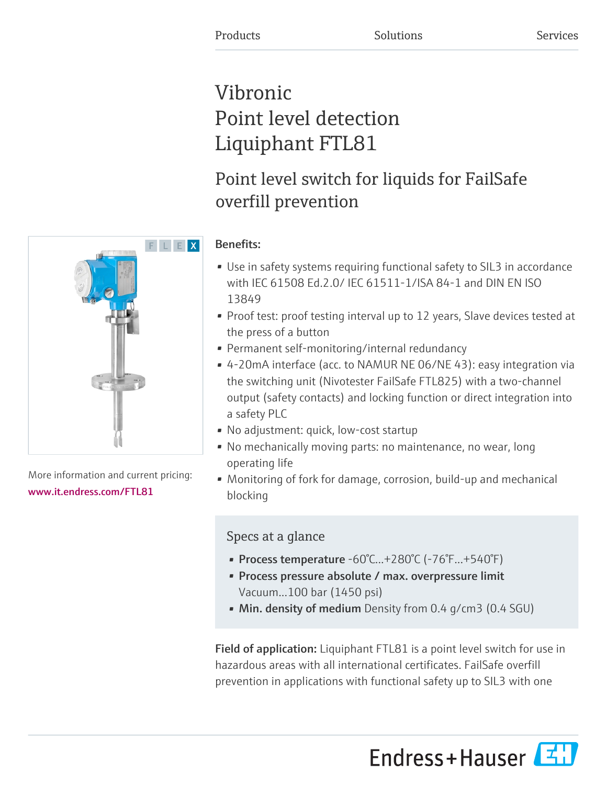# Vibronic Point level detection Liquiphant FTL81

# Point level switch for liquids for FailSafe overfill prevention



- Use in safety systems requiring functional safety to SIL3 in accordance with IEC 61508 Ed.2.0/ IEC 61511-1/ISA 84-1 and DIN EN ISO 13849
- Proof test: proof testing interval up to 12 years, Slave devices tested at the press of a button
- Permanent self-monitoring/internal redundancy
- 4-20mA interface (acc. to NAMUR NE 06/NE 43): easy integration via the switching unit (Nivotester FailSafe FTL825) with a two-channel output (safety contacts) and locking function or direct integration into a safety PLC
- No adjustment: quick, low-cost startup
- No mechanically moving parts: no maintenance, no wear, long operating life
- Monitoring of fork for damage, corrosion, build-up and mechanical blocking

# Specs at a glance

- Process temperature -60°C...+280°C (-76°F...+540°F)
- Process pressure absolute / max. overpressure limit Vacuum...100 bar (1450 psi)
- Min. density of medium Density from 0.4 g/cm3 (0.4 SGU)

Field of application: Liquiphant FTL81 is a point level switch for use in hazardous areas with all international certificates. FailSafe overfill prevention in applications with functional safety up to SIL3 with one





More information and current pricing: [www.it.endress.com/FTL81](https://www.it.endress.com/FTL81)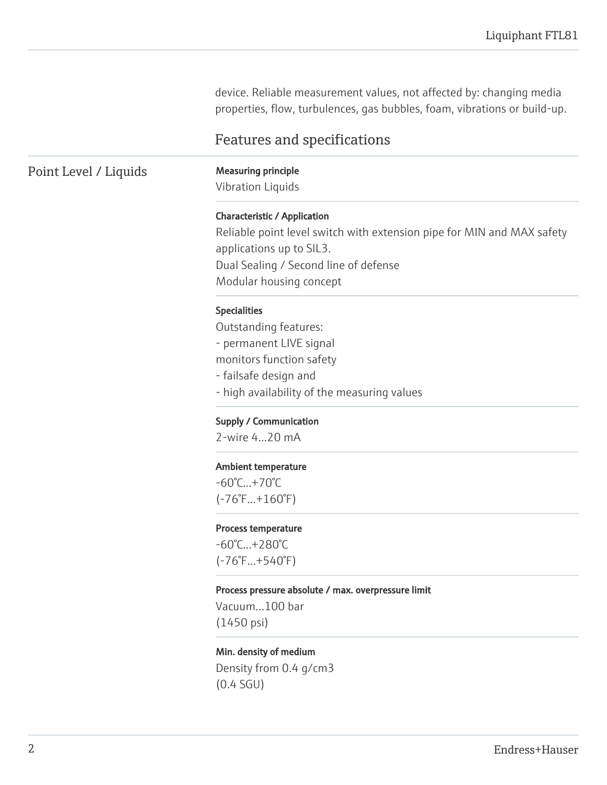device. Reliable measurement values, not affected by: changing media properties, flow, turbulences, gas bubbles, foam, vibrations or build-up.

## Features and specifications

## Point Level / Liquids Measuring principle

Vibration Liquids

### Characteristic / Application

Reliable point level switch with extension pipe for MIN and MAX safety applications up to SIL3. Dual Sealing / Second line of defense Modular housing concept

#### Specialities

Outstanding features: - permanent LIVE signal monitors function safety - failsafe design and - high availability of the measuring values

Supply / Communication

2-wire 4...20 mA

#### Ambient temperature

-60°C...+70°C (-76°F...+160°F)

#### Process temperature

-60°C...+280°C (-76°F...+540°F)

#### Process pressure absolute / max. overpressure limit

Vacuum...100 bar (1450 psi)

#### Min. density of medium

Density from 0.4 g/cm3 (0.4 SGU)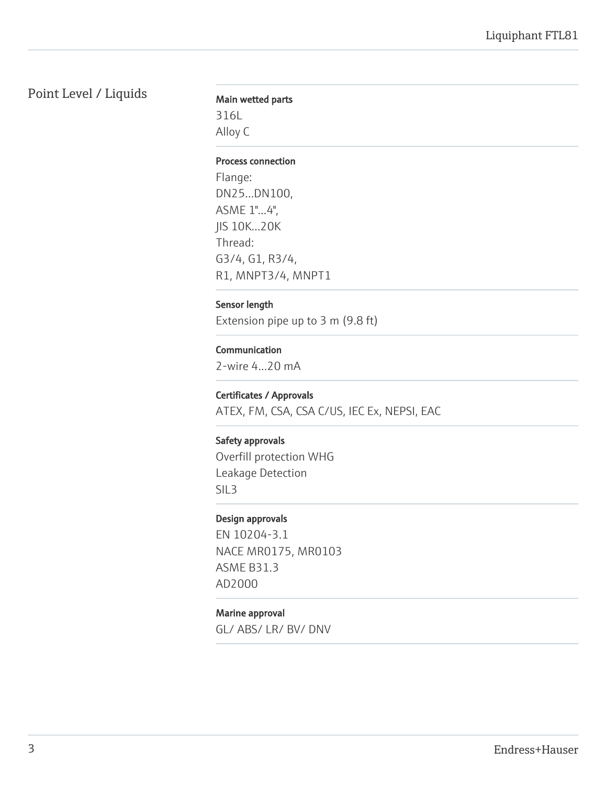# Point Level / Liquids

## Main wetted parts

316L Alloy C

#### Process connection

Flange: DN25...DN100, ASME 1"...4", JIS 10K...20K Thread: G3/4, G1, R3/4, R1, MNPT3/4, MNPT1

## Sensor length

Extension pipe up to 3 m (9.8 ft)

## Communication

2-wire 4...20 mA

## Certificates / Approvals

ATEX, FM, CSA, CSA C/US, IEC Ex, NEPSI, EAC

### Safety approvals

Overfill protection WHG Leakage Detection SIL3

### Design approvals

EN 10204-3.1 NACE MR0175, MR0103 ASME B31.3 AD2000

## Marine approval

GL/ ABS/ LR/ BV/ DNV